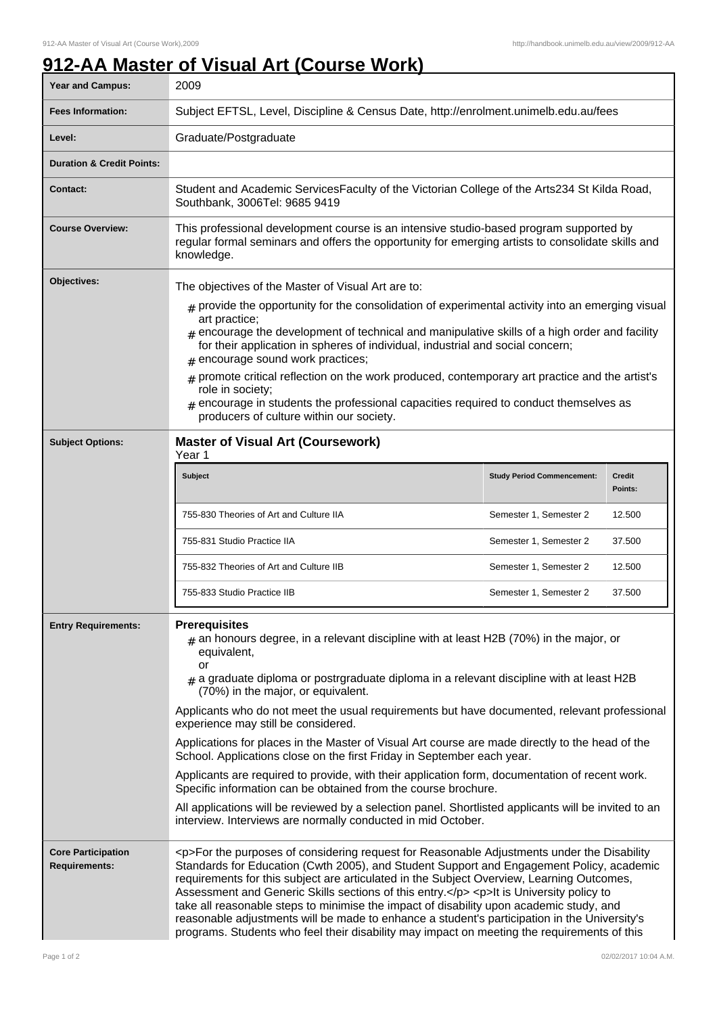## **912-AA Master of Visual Art (Course Work)**

| Year and Campus:                                  | 2009                                                                                                                                                                                                                                                                                                                                                                                                                                                                                                                                                                                                                                                                               |                                   |                          |
|---------------------------------------------------|------------------------------------------------------------------------------------------------------------------------------------------------------------------------------------------------------------------------------------------------------------------------------------------------------------------------------------------------------------------------------------------------------------------------------------------------------------------------------------------------------------------------------------------------------------------------------------------------------------------------------------------------------------------------------------|-----------------------------------|--------------------------|
| <b>Fees Information:</b>                          | Subject EFTSL, Level, Discipline & Census Date, http://enrolment.unimelb.edu.au/fees                                                                                                                                                                                                                                                                                                                                                                                                                                                                                                                                                                                               |                                   |                          |
| Level:                                            | Graduate/Postgraduate                                                                                                                                                                                                                                                                                                                                                                                                                                                                                                                                                                                                                                                              |                                   |                          |
| <b>Duration &amp; Credit Points:</b>              |                                                                                                                                                                                                                                                                                                                                                                                                                                                                                                                                                                                                                                                                                    |                                   |                          |
| <b>Contact:</b>                                   | Student and Academic ServicesFaculty of the Victorian College of the Arts234 St Kilda Road,<br>Southbank, 3006Tel: 9685 9419                                                                                                                                                                                                                                                                                                                                                                                                                                                                                                                                                       |                                   |                          |
| <b>Course Overview:</b>                           | This professional development course is an intensive studio-based program supported by<br>regular formal seminars and offers the opportunity for emerging artists to consolidate skills and<br>knowledge.                                                                                                                                                                                                                                                                                                                                                                                                                                                                          |                                   |                          |
| Objectives:                                       | The objectives of the Master of Visual Art are to:                                                                                                                                                                                                                                                                                                                                                                                                                                                                                                                                                                                                                                 |                                   |                          |
|                                                   | $_{\text{\#}}$ provide the opportunity for the consolidation of experimental activity into an emerging visual<br>art practice;<br>$_{\#}$ encourage the development of technical and manipulative skills of a high order and facility<br>for their application in spheres of individual, industrial and social concern;<br># encourage sound work practices;<br>promote critical reflection on the work produced, contemporary art practice and the artist's                                                                                                                                                                                                                       |                                   |                          |
|                                                   | #<br>role in society;<br>$#$ encourage in students the professional capacities required to conduct themselves as<br>producers of culture within our society.                                                                                                                                                                                                                                                                                                                                                                                                                                                                                                                       |                                   |                          |
| <b>Subject Options:</b>                           | <b>Master of Visual Art (Coursework)</b><br>Year 1                                                                                                                                                                                                                                                                                                                                                                                                                                                                                                                                                                                                                                 |                                   |                          |
|                                                   | Subject                                                                                                                                                                                                                                                                                                                                                                                                                                                                                                                                                                                                                                                                            | <b>Study Period Commencement:</b> | <b>Credit</b><br>Points: |
|                                                   | 755-830 Theories of Art and Culture IIA                                                                                                                                                                                                                                                                                                                                                                                                                                                                                                                                                                                                                                            | Semester 1, Semester 2            | 12.500                   |
|                                                   | 755-831 Studio Practice IIA                                                                                                                                                                                                                                                                                                                                                                                                                                                                                                                                                                                                                                                        | Semester 1, Semester 2            | 37.500                   |
|                                                   | 755-832 Theories of Art and Culture IIB                                                                                                                                                                                                                                                                                                                                                                                                                                                                                                                                                                                                                                            | Semester 1, Semester 2            | 12.500                   |
|                                                   | 755-833 Studio Practice IIB                                                                                                                                                                                                                                                                                                                                                                                                                                                                                                                                                                                                                                                        | Semester 1, Semester 2            | 37.500                   |
| <b>Entry Requirements:</b>                        | <b>Prerequisites</b><br>$_{\text{\#}}$ an honours degree, in a relevant discipline with at least H2B (70%) in the major, or<br>equivalent,<br>or<br>$_{\text{\#}}$ a graduate diploma or postrgraduate diploma in a relevant discipline with at least H2B<br>(70%) in the major, or equivalent.                                                                                                                                                                                                                                                                                                                                                                                    |                                   |                          |
|                                                   | Applicants who do not meet the usual requirements but have documented, relevant professional<br>experience may still be considered.                                                                                                                                                                                                                                                                                                                                                                                                                                                                                                                                                |                                   |                          |
|                                                   | Applications for places in the Master of Visual Art course are made directly to the head of the<br>School. Applications close on the first Friday in September each year.                                                                                                                                                                                                                                                                                                                                                                                                                                                                                                          |                                   |                          |
|                                                   | Applicants are required to provide, with their application form, documentation of recent work.<br>Specific information can be obtained from the course brochure.                                                                                                                                                                                                                                                                                                                                                                                                                                                                                                                   |                                   |                          |
|                                                   | All applications will be reviewed by a selection panel. Shortlisted applicants will be invited to an<br>interview. Interviews are normally conducted in mid October.                                                                                                                                                                                                                                                                                                                                                                                                                                                                                                               |                                   |                          |
| <b>Core Participation</b><br><b>Requirements:</b> | <p>For the purposes of considering request for Reasonable Adjustments under the Disability<br/>Standards for Education (Cwth 2005), and Student Support and Engagement Policy, academic<br/>requirements for this subject are articulated in the Subject Overview, Learning Outcomes,<br/>Assessment and Generic Skills sections of this entry.</p> <p>It is University policy to<br/>take all reasonable steps to minimise the impact of disability upon academic study, and<br/>reasonable adjustments will be made to enhance a student's participation in the University's<br/>programs. Students who feel their disability may impact on meeting the requirements of this</p> |                                   |                          |